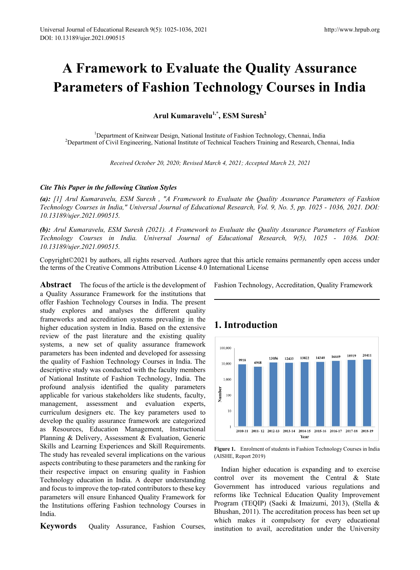# **A Framework to Evaluate the Quality Assurance Parameters of Fashion Technology Courses in India**

**Arul Kumaravelu1,\*, ESM Suresh<sup>2</sup>**

<sup>1</sup>Department of Knitwear Design, National Institute of Fashion Technology, Chennai, India<br><sup>2</sup>Department of Civil Engineering, National Institute of Technical Teachers Training and Research, Ch <sup>2</sup>Department of Civil Engineering, National Institute of Technical Teachers Training and Research, Chennai, India

*Received October 20, 2020; Revised March 4, 2021; Accepted March 23, 2021* 

## *Cite This Paper in the following Citation Styles*

*(a): [1] Arul Kumaravelu, ESM Suresh , "A Framework to Evaluate the Quality Assurance Parameters of Fashion Technology Courses in India," Universal Journal of Educational Research, Vol. 9, No. 5, pp. 1025 - 1036, 2021. DOI: 10.13189/ujer.2021.090515.* 

*(b): Arul Kumaravelu, ESM Suresh (2021). A Framework to Evaluate the Quality Assurance Parameters of Fashion Technology Courses in India. Universal Journal of Educational Research, 9(5), 1025 - 1036. DOI: 10.13189/ujer.2021.090515.* 

Copyright©2021 by authors, all rights reserved. Authors agree that this article remains permanently open access under the terms of the Creative Commons Attribution License 4.0 International License

**Abstract** The focus of the article is the development of a Quality Assurance Framework for the institutions that offer Fashion Technology Courses in India. The present study explores and analyses the different quality frameworks and accreditation systems prevailing in the higher education system in India. Based on the extensive review of the past literature and the existing quality systems, a new set of quality assurance framework parameters has been indented and developed for assessing the quality of Fashion Technology Courses in India. The descriptive study was conducted with the faculty members of National Institute of Fashion Technology, India. The profound analysis identified the quality parameters applicable for various stakeholders like students, faculty, management, assessment and evaluation experts, curriculum designers etc. The key parameters used to develop the quality assurance framework are categorized as Resources, Education Management, Instructional Planning & Delivery, Assessment & Evaluation, Generic Skills and Learning Experiences and Skill Requirements. The study has revealed several implications on the various aspects contributing to these parameters and the ranking for their respective impact on ensuring quality in Fashion Technology education in India. A deeper understanding and focus to improve the top-rated contributors to these key parameters will ensure Enhanced Quality Framework for the Institutions offering Fashion technology Courses in India.

**Keywords** Ouality Assurance, Fashion Courses,

Fashion Technology, Accreditation, Quality Framework

# **1. Introduction**



**Figure 1.** Enrolment of students in Fashion Technology Courses in India (AISHE, Report 2019)

Indian higher education is expanding and to exercise control over its movement the Central & State Government has introduced various regulations and reforms like Technical Education Quality Improvement Program (TEQIP) (Saeki & Imaizumi, 2013), (Stella & Bhushan, 2011). The accreditation process has been set up which makes it compulsory for every educational institution to avail, accreditation under the University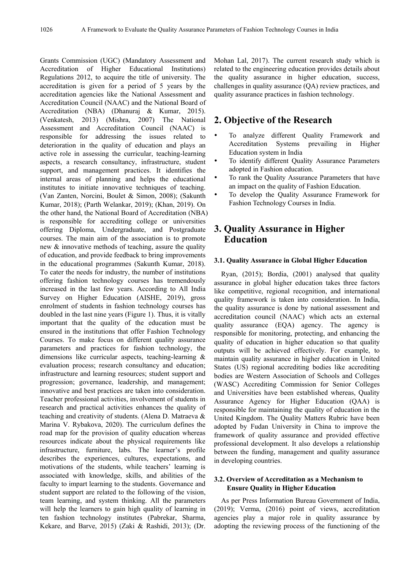Grants Commission (UGC) (Mandatory Assessment and Accreditation of Higher Educational Institutions) Regulations 2012, to acquire the title of university. The accreditation is given for a period of 5 years by the accreditation agencies like the National Assessment and Accreditation Council (NAAC) and the National Board of Accreditation (NBA) (Dhanuraj & Kumar, 2015). (Venkatesh, 2013) (Mishra, 2007) The National Assessment and Accreditation Council (NAAC) is responsible for addressing the issues related to deterioration in the quality of education and plays an active role in assessing the curricular, teaching-learning aspects, a research consultancy, infrastructure, student support, and management practices. It identifies the internal areas of planning and helps the educational institutes to initiate innovative techniques of teaching. (Van Zanten, Norcini, Boulet & Simon, 2008); (Sakunth Kumar, 2018); (Parth Welankar, 2019); (Khan, 2019). On the other hand, the National Board of Accreditation (NBA) is responsible for accrediting college or universities offering Diploma, Undergraduate, and Postgraduate courses. The main aim of the association is to promote new & innovative methods of teaching, assure the quality of education, and provide feedback to bring improvements in the educational programmes (Sakunth Kumar, 2018). To cater the needs for industry, the number of institutions offering fashion technology courses has tremendously increased in the last few years. According to All India Survey on Higher Education (AISHE, 2019), gross enrolment of students in fashion technology courses has doubled in the last nine years (Figure 1). Thus, it is vitally important that the quality of the education must be ensured in the institutions that offer Fashion Technology Courses. To make focus on different quality assurance parameters and practices for fashion technology, the dimensions like curricular aspects, teaching-learning & evaluation process; research consultancy and education; infrastructure and learning resources; student support and progression; governance, leadership, and management; innovative and best practices are taken into consideration. Teacher professional activities, involvement of students in research and practical activities enhances the quality of teaching and creativity of students. (Alena D. Matraeva & Marina V. Rybakova, 2020). The curriculum defines the road map for the provision of quality education whereas resources indicate about the physical requirements like infrastructure, furniture, labs. The learner's profile describes the experiences, cultures, expectations, and motivations of the students, while teachers' learning is associated with knowledge, skills, and abilities of the faculty to impart learning to the students. Governance and student support are related to the following of the vision, team learning, and system thinking. All the parameters will help the learners to gain high quality of learning in ten fashion technology institutes (Pabrekar, Sharma, Kekare, and Barve, 2015) (Zaki & Rashidi, 2013); (Dr.

Mohan Lal, 2017). The current research study which is related to the engineering education provides details about the quality assurance in higher education, success, challenges in quality assurance (QA) review practices, and quality assurance practices in fashion technology.

## **2. Objective of the Research**

- To analyze different Quality Framework and Accreditation Systems prevailing in Higher Education system in India
- To identify different Quality Assurance Parameters adopted in Fashion education.
- To rank the Quality Assurance Parameters that have an impact on the quality of Fashion Education.
- To develop the Quality Assurance Framework for Fashion Technology Courses in India.

# **3. Quality Assurance in Higher Education**

### **3.1. Quality Assurance in Global Higher Education**

Ryan, (2015); Bordia, (2001) analysed that quality assurance in global higher education takes three factors like competitive, regional recognition, and international quality framework is taken into consideration. In India, the quality assurance is done by national assessment and accreditation council (NAAC) which acts an external quality assurance (EQA) agency. The agency is responsible for monitoring, protecting, and enhancing the quality of education in higher education so that quality outputs will be achieved effectively. For example, to maintain quality assurance in higher education in United States (US) regional accrediting bodies like accrediting bodies are Western Association of Schools and Colleges (WASC) Accrediting Commission for Senior Colleges and Universities have been established whereas, Quality Assurance Agency for Higher Education (QAA) is responsible for maintaining the quality of education in the United Kingdom. The Quality Matters Rubric have been adopted by Fudan University in China to improve the framework of quality assurance and provided effective professional development. It also develops a relationship between the funding, management and quality assurance in developing countries.

### **3.2. Overview of Accreditation as a Mechanism to Ensure Quality in Higher Education**

As per Press Information Bureau Government of India, (2019); Verma, (2016) point of views, accreditation agencies play a major role in quality assurance by adopting the reviewing process of the functioning of the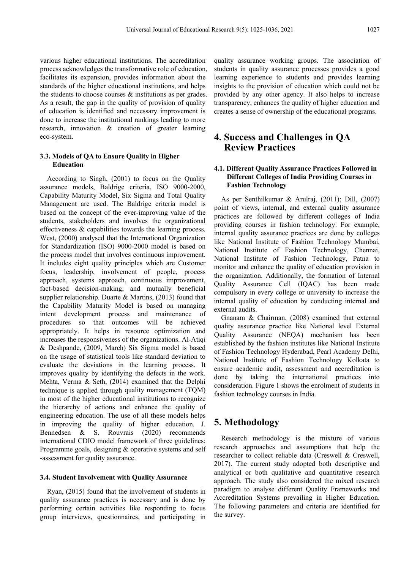various higher educational institutions. The accreditation process acknowledges the transformative role of education, facilitates its expansion, provides information about the standards of the higher educational institutions, and helps the students to choose courses & institutions as per grades. As a result, the gap in the quality of provision of quality of education is identified and necessary improvement is done to increase the institutional rankings leading to more research, innovation & creation of greater learning eco-system.

## **3.3. Models of QA to Ensure Quality in Higher Education**

According to Singh, (2001) to focus on the Quality assurance models, Baldrige criteria, ISO 9000-2000, Capability Maturity Model, Six Sigma and Total Quality Management are used. The Baldrige criteria model is based on the concept of the ever-improving value of the students, stakeholders and involves the organizational effectiveness & capabilities towards the learning process. West, (2000) analysed that the International Organization for Standardization (ISO) 9000-2000 model is based on the process model that involves continuous improvement. It includes eight quality principles which are Customer focus, leadership, involvement of people, process approach, systems approach, continuous improvement, fact-based decision-making, and mutually beneficial supplier relationship. Duarte & Martins, (2013) found that the Capability Maturity Model is based on managing intent development process and maintenance of procedures so that outcomes will be achieved appropriately. It helps in resource optimization and increases the responsiveness of the organizations. Al-Atiqi & Deshpande, (2009, March) Six Sigma model is based on the usage of statistical tools like standard deviation to evaluate the deviations in the learning process. It improves quality by identifying the defects in the work. Mehta, Verma & Seth, (2014) examined that the Delphi technique is applied through quality management (TQM) in most of the higher educational institutions to recognize the hierarchy of actions and enhance the quality of engineering education. The use of all these models helps in improving the quality of higher education. J. Bennedsen & S. Rouvrais (2020) recommends international CDIO model framework of three guidelines: Programme goals, designing & operative systems and self -assessment for quality assurance.

#### **3.4. Student Involvement with Quality Assurance**

Ryan, (2015) found that the involvement of students in quality assurance practices is necessary and is done by performing certain activities like responding to focus group interviews, questionnaires, and participating in

quality assurance working groups. The association of students in quality assurance processes provides a good learning experience to students and provides learning insights to the provision of education which could not be provided by any other agency. It also helps to increase transparency, enhances the quality of higher education and creates a sense of ownership of the educational programs.

# **4. Success and Challenges in QA Review Practices**

## **4.1. Different Quality Assurance Practices Followed in Different Colleges of India Providing Courses in Fashion Technology**

As per Senthilkumar & Arulraj, (2011); Dill, (2007) point of views, internal, and external quality assurance practices are followed by different colleges of India providing courses in fashion technology. For example, internal quality assurance practices are done by colleges like National Institute of Fashion Technology Mumbai, National Institute of Fashion Technology, Chennai, National Institute of Fashion Technology, Patna to monitor and enhance the quality of education provision in the organization. Additionally, the formation of Internal Quality Assurance Cell (IQAC) has been made compulsory in every college or university to increase the internal quality of education by conducting internal and external audits.

Gnanam & Chairman, (2008) examined that external quality assurance practice like National level External Quality Assurance (NEQA) mechanism has been established by the fashion institutes like National Institute of Fashion Technology Hyderabad, Pearl Academy Delhi, National Institute of Fashion Technology Kolkata to ensure academic audit, assessment and accreditation is done by taking the international practices into consideration. Figure 1 shows the enrolment of students in fashion technology courses in India.

## **5. Methodology**

Research methodology is the mixture of various research approaches and assumptions that help the researcher to collect reliable data (Creswell & Creswell, 2017). The current study adopted both descriptive and analytical or both qualitative and quantitative research approach. The study also considered the mixed research paradigm to analyse different Quality Frameworks and Accreditation Systems prevailing in Higher Education. The following parameters and criteria are identified for the survey.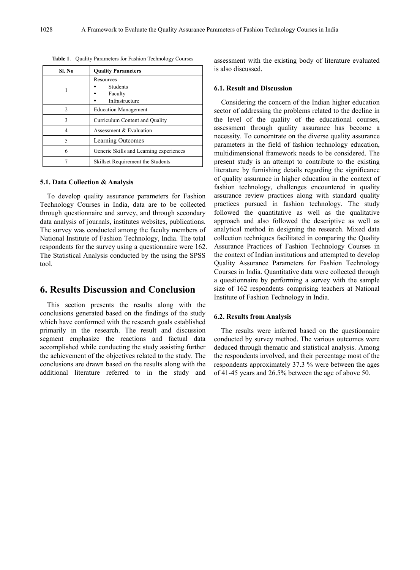| Sl. No | <b>Quality Parameters</b>                                 |
|--------|-----------------------------------------------------------|
|        | Resources<br><b>Students</b><br>Faculty<br>Infrastructure |
| っ      | <b>Education Management</b>                               |
| 3      | Curriculum Content and Quality                            |
|        | Assessment & Evaluation                                   |
| 5      | Learning Outcomes                                         |
| 6      | Generic Skills and Learning experiences                   |
|        | Skillset Requirement the Students                         |

**Table 1**. Quality Parameters for Fashion Technology Courses

#### **5.1. Data Collection & Analysis**

To develop quality assurance parameters for Fashion Technology Courses in India, data are to be collected through questionnaire and survey, and through secondary data analysis of journals, institutes websites, publications. The survey was conducted among the faculty members of National Institute of Fashion Technology, India. The total respondents for the survey using a questionnaire were 162. The Statistical Analysis conducted by the using the SPSS tool.

## **6. Results Discussion and Conclusion**

This section presents the results along with the conclusions generated based on the findings of the study which have conformed with the research goals established primarily in the research. The result and discussion segment emphasize the reactions and factual data accomplished while conducting the study assisting further the achievement of the objectives related to the study. The conclusions are drawn based on the results along with the additional literature referred to in the study and

assessment with the existing body of literature evaluated is also discussed.

#### **6.1. Result and Discussion**

Considering the concern of the Indian higher education sector of addressing the problems related to the decline in the level of the quality of the educational courses, assessment through quality assurance has become a necessity. To concentrate on the diverse quality assurance parameters in the field of fashion technology education, multidimensional framework needs to be considered. The present study is an attempt to contribute to the existing literature by furnishing details regarding the significance of quality assurance in higher education in the context of fashion technology, challenges encountered in quality assurance review practices along with standard quality practices pursued in fashion technology. The study followed the quantitative as well as the qualitative approach and also followed the descriptive as well as analytical method in designing the research. Mixed data collection techniques facilitated in comparing the Quality Assurance Practices of Fashion Technology Courses in the context of Indian institutions and attempted to develop Quality Assurance Parameters for Fashion Technology Courses in India. Quantitative data were collected through a questionnaire by performing a survey with the sample size of 162 respondents comprising teachers at National Institute of Fashion Technology in India.

#### **6.2. Results from Analysis**

The results were inferred based on the questionnaire conducted by survey method. The various outcomes were deduced through thematic and statistical analysis. Among the respondents involved, and their percentage most of the respondents approximately 37.3 % were between the ages of 41-45 years and 26.5% between the age of above 50.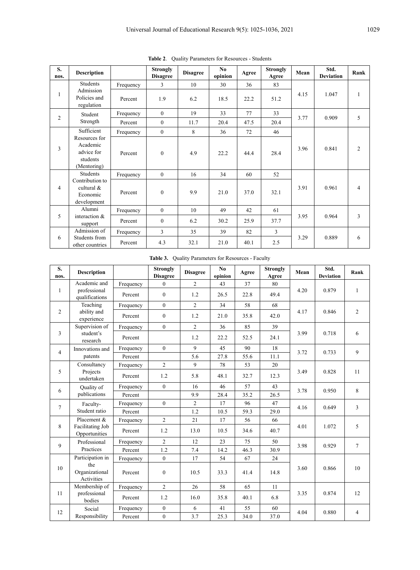| S.<br>nos.     | <b>Description</b>                                                 |           | <b>Strongly</b><br><b>Disagree</b> | <b>Disagree</b> | N <sub>0</sub><br>opinion | Agree | <b>Strongly</b><br>Agree | Mean | Std.<br><b>Deviation</b> | Rank           |
|----------------|--------------------------------------------------------------------|-----------|------------------------------------|-----------------|---------------------------|-------|--------------------------|------|--------------------------|----------------|
|                | Students                                                           | Frequency | 3                                  | 10              | 30                        | 36    | 83                       |      |                          |                |
| 1              | Admission<br>Policies and<br>regulation                            | Percent   | 1.9                                | 6.2             | 18.5                      | 22.2  | 51.2                     | 4.15 | 1.047                    | 1              |
| $\overline{2}$ | Student                                                            | Frequency | $\mathbf{0}$                       | 19              | 33                        | 77    | 33                       | 3.77 | 0.909                    | 5              |
|                | Strength                                                           | Percent   | $\mathbf{0}$                       | 11.7            | 20.4                      | 47.5  | 20.4                     |      |                          |                |
|                | Sufficient                                                         | Frequency | $\mathbf{0}$                       | 8               | 36                        | 72    | 46                       |      |                          |                |
| 3              | Resources for<br>Academic<br>advice for<br>students<br>(Mentoring) | Percent   | $\mathbf{0}$                       | 4.9             | 22.2                      | 44.4  | 28.4                     | 3.96 | 0.841                    | $\overline{c}$ |
|                | <b>Students</b>                                                    | Frequency | $\theta$                           | 16              | 34                        | 60    | 52                       |      |                          |                |
| $\overline{4}$ | Contribution to<br>cultural $\&$<br>Economic<br>development        | Percent   | $\mathbf{0}$                       | 9.9             | 21.0                      | 37.0  | 32.1                     | 3.91 | 0.961                    | 4              |
|                | Alumni                                                             | Frequency | $\mathbf{0}$                       | 10              | 49                        | 42    | 61                       |      |                          |                |
| 5              | interaction &<br>support                                           | Percent   | $\mathbf{0}$                       | 6.2             | 30.2                      | 25.9  | 37.7                     | 3.95 | 0.964                    | 3              |
|                | Admission of                                                       | Frequency | 3                                  | 35              | 39                        | 82    | 3                        |      |                          |                |
| 6              | Students from<br>other countries                                   | Percent   | 4.3                                | 32.1            | 21.0                      | 40.1  | 2.5                      | 3.29 | 0.889                    | 6              |

**Table 2**. Quality Parameters for Resources - Students

**Table 3.** Quality Parameters for Resources - Faculty

| S.<br>nos.     | <b>Description</b>                  |           | <b>Strongly</b><br><b>Disagree</b> | <b>Disagree</b> | No<br>opinion | Agree | <b>Strongly</b><br>Agree | Mean | Std.<br><b>Deviation</b> | Rank           |
|----------------|-------------------------------------|-----------|------------------------------------|-----------------|---------------|-------|--------------------------|------|--------------------------|----------------|
|                | Academic and                        | Frequency | $\Omega$                           | $\overline{2}$  | 43            | 37    | 80                       |      |                          |                |
| $\mathbf{1}$   | professional<br>qualifications      | Percent   | $\mathbf{0}$                       | 1.2             | 26.5          | 22.8  | 49.4                     | 4.20 | 0.879                    | $\mathbf{1}$   |
|                | Teaching                            | Frequency | $\theta$                           | $\overline{2}$  | 34            | 58    | 68                       |      |                          |                |
| $\overline{2}$ | ability and<br>experience           | Percent   | $\mathbf{0}$                       | 1.2             | 21.0          | 35.8  | 42.0                     | 4.17 | 0.846                    | $\overline{2}$ |
|                | Supervision of                      | Frequency | $\mathbf{0}$                       | $\overline{2}$  | 36            | 85    | 39                       |      |                          |                |
| $\overline{3}$ | student's<br>research               | Percent   |                                    | 1.2             | 22.2          | 52.5  | 24.1                     | 3.99 | 0.718                    | 6              |
| $\overline{4}$ | Innovations and                     | Frequency | $\mathbf{0}$                       | 9               | 45            | 90    | 18                       | 3.72 | 0.733                    | 9              |
|                | patents                             | Percent   |                                    | 5.6             | 27.8          | 55.6  | 11.1                     |      |                          |                |
|                | Consultancy                         | Frequency | $\overline{2}$                     | 9               | 78            | 53    | 20                       |      |                          |                |
| 5              | Projects<br>undertaken              | Percent   | 1.2                                | 5.8             | 48.1          | 32.7  | 12.3                     | 3.49 | 0.828                    | 11             |
| 6              | Quality of                          | Frequency | $\theta$                           | 16              | 46            | 57    | 43                       | 3.78 | 0.950                    | 8              |
|                | publications                        | Percent   |                                    | 9.9             | 28.4          | 35.2  | 26.5                     |      |                          |                |
| $\tau$         | Faculty-                            | Frequency | $\Omega$                           | $\overline{2}$  | 17            | 96    | 47                       | 4.16 | 0.649                    | $\overline{3}$ |
|                | Student ratio                       | Percent   |                                    | 1.2             | 10.5          | 59.3  | 29.0                     |      |                          |                |
|                | Placement &                         | Frequency | $\overline{2}$                     | 21              | 17            | 56    | 66                       |      |                          |                |
| 8              | Facilitating Job<br>Opportunities   | Percent   | 1.2                                | 13.0            | 10.5          | 34.6  | 40.7                     | 4.01 | 1.072                    | 5              |
| 9              | Professional                        | Frequency | $\overline{2}$                     | 12              | 23            | 75    | 50                       | 3.98 | 0.929                    | $\tau$         |
|                | Practices                           | Percent   | 1.2                                | 7.4             | 14.2          | 46.3  | 30.9                     |      |                          |                |
|                | Participation in                    | Frequency | $\theta$                           | 17              | 54            | 67    | 24                       |      |                          |                |
| 10             | the<br>Organizational<br>Activities | Percent   | $\mathbf{0}$                       | 10.5            | 33.3          | 41.4  | 14.8                     | 3.60 | 0.866                    | 10             |
|                | Membership of                       | Frequency | $\overline{2}$                     | 26              | 58            | 65    | 11                       |      |                          |                |
| 11             | professional<br>bodies              | Percent   | 1.2                                | 16.0            | 35.8          | 40.1  | 6.8                      | 3.35 | 0.874                    | 12             |
| 12             | Social                              | Frequency | $\mathbf{0}$                       | 6               | 41            | 55    | 60                       | 4.04 | 0.880                    | $\overline{4}$ |
|                | Responsibility                      | Percent   | $\mathbf{0}$                       | 3.7             | 25.3          | 34.0  | 37.0                     |      |                          |                |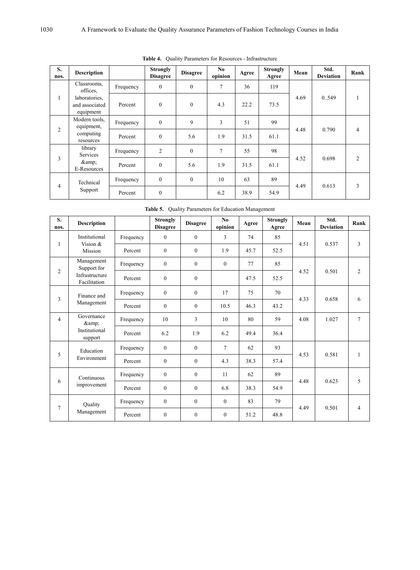| S.<br>nos.     | <b>Description</b>                           |           | <b>Strongly</b><br><b>Disagree</b> | <b>Disagree</b> | No<br>opinion | Agree | <b>Strongly</b><br>Agree | Mean | Std.<br><b>Deviation</b> | Rank           |
|----------------|----------------------------------------------|-----------|------------------------------------|-----------------|---------------|-------|--------------------------|------|--------------------------|----------------|
|                | Classrooms,<br>offices,                      | Frequency | $\theta$                           | $\mathbf{0}$    | 7             | 36    | 119                      |      |                          |                |
| 1              | laboratories,<br>and associated<br>equipment | Percent   | $\theta$                           | $\theta$        | 4.3           | 22.2  | 73.5                     | 4.69 | 0.549                    |                |
|                | Modern tools.<br>equipment,                  | Frequency | $\theta$                           | 9               | 3             | 51    | 99                       |      |                          |                |
|                | 2<br>computing<br>resources                  | Percent   | $\theta$                           | 5.6             | 1.9           | 31.5  | 61.1                     | 4.48 | 0.790                    | 4              |
| 3              | library<br>Services                          | Frequency | $\overline{2}$                     | $\mathbf{0}$    | 7             | 55    | 98                       | 4.52 | 0.698                    | $\overline{c}$ |
|                | &<br>E-Resources                             | Percent   | $\mathbf{0}$                       | 5.6             | 1.9           | 31.5  | 61.1                     |      |                          |                |
|                | Technical                                    | Frequency | $\mathbf{0}$                       | $\mathbf{0}$    | 10            | 63    | 89                       | 4.49 |                          |                |
| $\overline{4}$ | Support                                      | Percent   | $\mathbf{0}$                       |                 | 6.2           | 38.9  | 54.9                     |      | 0.613                    | 3              |

**Table 4.** Quality Parameters for Resources - Infrastructure

**Table 5.** Quality Parameters for Education Management

| S.<br>nos.     | <b>Description</b>             |           | <b>Strongly</b><br><b>Disagree</b> | <b>Disagree</b> | No<br>opinion  | Agree | <b>Strongly</b><br>Agree | Mean | Std.<br><b>Deviation</b> | Rank           |
|----------------|--------------------------------|-----------|------------------------------------|-----------------|----------------|-------|--------------------------|------|--------------------------|----------------|
| $\mathbf{1}$   | Institutional<br>Vision &      | Frequency | $\theta$                           | $\mathbf{0}$    | 3              | 74    | 85                       | 4.51 | 0.537                    | 3              |
|                | <b>Mission</b>                 | Percent   | $\Omega$                           | $\overline{0}$  | 1.9            | 45.7  | 52.5                     |      |                          |                |
|                | Management<br>Support for      | Frequency | $\mathbf{0}$                       | $\overline{0}$  | $\theta$       | 77    | 85                       |      |                          |                |
| $\mathfrak{2}$ | Infrastructure<br>Facilitation | Percent   | $\mathbf{0}$                       | $\overline{0}$  |                | 47.5  | 52.5                     | 4.52 | 0.501                    | 2              |
|                | Finance and                    | Frequency | $\theta$                           | $\theta$        | 17             | 75    | 70                       | 4.33 | 0.658                    |                |
| 3              | Management                     | Percent   | $\Omega$                           | $\overline{0}$  | 10.5           | 46.3  | 43.2                     |      |                          | 6              |
| $\overline{4}$ | Governance<br>&                | Frequency | 10                                 | 3               | 10             | 80    | 59                       | 4.08 | 1.027                    | $\overline{7}$ |
|                | Institutional<br>support       | Percent   | 6.2                                | 1.9             | 6.2            | 49.4  | 36.4                     |      |                          |                |
| 5              | Education                      | Frequency | $\theta$                           | $\theta$        | $\overline{7}$ | 62    | 93                       | 4.53 | 0.581                    | 1              |
|                | Environment                    | Percent   | $\theta$                           | $\overline{0}$  | 4.3            | 38.3  | 57.4                     |      |                          |                |
|                | Continuous                     | Frequency | $\theta$                           | $\overline{0}$  | 11             | 62    | 89                       |      | 0.623                    |                |
| 6              | improvement                    | Percent   | $\Omega$                           | $\theta$        | 6.8            | 38.3  | 54.9                     | 4.48 |                          | 5              |
|                | Quality                        | Frequency | $\mathbf{0}$                       | $\overline{0}$  | $\mathbf{0}$   | 83    | 79                       |      |                          |                |
| $\tau$         | Management                     | Percent   | $\theta$                           | $\overline{0}$  | $\theta$       | 51.2  | 48.8                     | 4.49 | 0.501                    | 4              |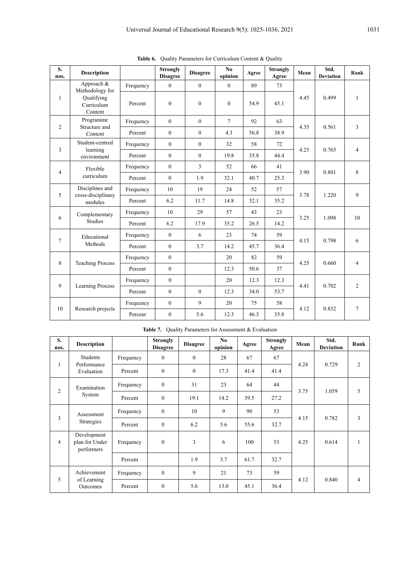| S.<br>nos.     | <b>Description</b>                  |           | <b>Strongly</b><br><b>Disagree</b> | <b>Disagree</b> | No<br>opinion | Agree | <b>Strongly</b><br>Agree | Mean | Std.<br><b>Deviation</b> | Rank                     |
|----------------|-------------------------------------|-----------|------------------------------------|-----------------|---------------|-------|--------------------------|------|--------------------------|--------------------------|
|                | Approach &<br>Methodology for       | Frequency | $\overline{0}$                     | $\mathbf{0}$    | $\theta$      | 89    | 73                       |      |                          |                          |
| $\mathbf{1}$   | Qualifying<br>Curriculum<br>Content | Percent   | $\mathbf{0}$                       | $\mathbf{0}$    | $\Omega$      | 54.9  | 45.1                     | 4.45 | 0.499                    | $\mathbf{1}$             |
| 2              | Programme<br>Structure and          | Frequency | $\theta$                           | $\theta$        | $\tau$        | 92    | 63                       | 4.35 | 0.561                    | 3                        |
|                | Content                             | Percent   | $\mathbf{0}$                       | $\theta$        | 4.3           | 56.8  | 38.9                     |      |                          |                          |
| $\overline{3}$ | Student-centred<br>learning         | Frequency | $\theta$                           | $\theta$        | 32            | 58    | 72                       | 4.25 | 0.765                    | $\overline{\mathcal{L}}$ |
|                | environment                         | Percent   | $\theta$                           | $\theta$        | 19.8          | 35.8  | 44.4                     |      |                          |                          |
| $\overline{4}$ | Flexible                            | Frequency | $\theta$                           | 3               | 52            | 66    | 41                       | 3.90 | 0.801                    | 8                        |
|                | curriculum                          | Percent   | $\theta$                           | 1.9             | 32.1          | 40.7  | 25.3                     |      |                          |                          |
|                | Disciplines and                     | Frequency | 10                                 | 19              | 24            | 52    | 57                       |      |                          |                          |
| 5              | cross-disciplinary<br>modules       | Percent   | 6.2                                | 11.7            | 14.8          | 32.1  | 35.2                     | 3.78 | 1.220                    | 9                        |
|                | Complementary                       | Frequency | 10                                 | 29              | 57            | 43    | 23                       |      |                          |                          |
| 6              | <b>Studies</b>                      | Percent   | 6.2                                | 17.9            | 35.2          | 26.5  | 14.2                     | 3.25 | 1.098                    | 10                       |
|                | Educational                         | Frequency | $\mathbf{0}$                       | 6               | 23            | 74    | 59                       |      |                          |                          |
| $\overline{7}$ | Methods                             | Percent   | $\mathbf{0}$                       | 3.7             | 14.2          | 45.7  | 36.4                     | 4.15 | 0.798                    | 6                        |
|                |                                     | Frequency | $\mathbf{0}$                       |                 | 20            | 82    | 59                       |      |                          |                          |
| 8              | <b>Teaching Process</b>             | Percent   | $\mathbf{0}$                       |                 | 12.3          | 50.6  | 37                       | 4.25 | 0.660                    | 4                        |
|                |                                     | Frequency | $\mathbf{0}$                       |                 | 20            | 12.3  | 12.3                     |      |                          |                          |
| $\mathbf{Q}$   | <b>Learning Process</b>             | Percent   | $\mathbf{0}$                       | $\theta$        | 12.3          | 34.0  | 53.7                     | 4.41 | 0.702                    | 2                        |
|                |                                     | Frequency | $\mathbf{0}$                       | 9               | 20            | 75    | 58                       |      |                          |                          |
| 10             | Research projects                   | Percent   | $\boldsymbol{0}$                   | 5.6             | 12.3          | 46.3  | 35.8                     | 4.12 | 0.832                    | $\tau$                   |

Table 6. Quality Parameters for Curriculum Content & Quality

| S.<br>nos.     | <b>Description</b>                          |           | <b>Strongly</b><br><b>Disagree</b> | <b>Disagree</b> | No.<br>opinion | Agree | <b>Strongly</b><br>Agree | Mean | Std.<br><b>Deviation</b> | Rank           |
|----------------|---------------------------------------------|-----------|------------------------------------|-----------------|----------------|-------|--------------------------|------|--------------------------|----------------|
|                | Students                                    | Frequency | $\mathbf{0}$                       | $\theta$        | 28             | 67    | 67                       |      |                          |                |
| 1              | Performance<br>Evaluation                   | Percent   | $\boldsymbol{0}$                   | $\mathbf{0}$    | 17.3           | 41.4  | 41.4                     | 4.24 | 0.729                    | $\overline{2}$ |
| $\overline{c}$ | Examination                                 | Frequency | $\mathbf{0}$                       | 31              | 23             | 64    | 44                       | 3.75 | 1.059                    | 5              |
|                | System                                      | Percent   | $\boldsymbol{0}$                   | 19.1            | 14.2           | 39.5  | 27.2                     |      |                          |                |
|                | Assessment                                  | Frequency | $\boldsymbol{0}$                   | 10              | 9              | 90    | 53                       |      |                          |                |
| 3              | <b>Strategies</b>                           | Percent   | $\mathbf{0}$                       | 6.2             | 5.6            | 55.6  | 32.7                     | 4.15 | 0.782                    | 3              |
| $\overline{4}$ | Development<br>plan for Under<br>performers | Frequency | $\mathbf{0}$                       | 3               | 6              | 100   | 53                       | 4.25 | 0.614                    | 1              |
|                |                                             | Percent   |                                    | 1.9             | 3.7            | 61.7  | 32.7                     |      |                          |                |
| 5              | Achievement                                 | Frequency | $\mathbf{0}$                       | 9               | 21             | 73    | 59                       | 4.12 | 0.840                    |                |
|                | of Learning<br>Outcomes                     | Percent   | $\boldsymbol{0}$                   | 5.6             | 13.0           | 45.1  | 36.4                     |      |                          | 4              |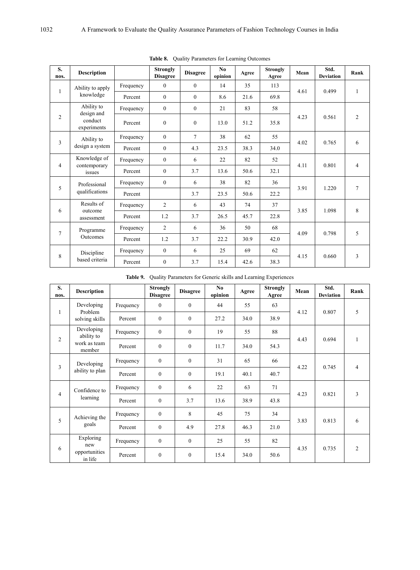| S.<br>nos.     | <b>Description</b>       |           | <b>Strongly</b><br><b>Disagree</b> | <b>Disagree</b> | N <sub>0</sub><br>opinion | Agree | <b>Strongly</b><br>Agree | Mean | Std.<br><b>Deviation</b> | Rank           |
|----------------|--------------------------|-----------|------------------------------------|-----------------|---------------------------|-------|--------------------------|------|--------------------------|----------------|
|                | Ability to apply         | Frequency | $\theta$                           | $\theta$        | 14                        | 35    | 113                      |      |                          |                |
| $\mathbf{1}$   | knowledge                | Percent   | $\theta$                           | $\theta$        | 8.6                       | 21.6  | 69.8                     | 4.61 | 0.499                    | 1              |
|                | Ability to<br>design and | Frequency | $\theta$                           | $\theta$        | 21                        | 83    | 58                       |      |                          |                |
| $\mathfrak{2}$ | conduct<br>experiments   | Percent   | $\mathbf{0}$                       | $\theta$        | 13.0                      | 51.2  | 35.8                     | 4.23 | 0.561                    | $\overline{2}$ |
| 3              | Ability to               | Frequency | $\theta$                           | $\tau$          | 38                        | 62    | 55                       | 4.02 | 0.765                    | 6              |
|                | design a system          | Percent   | $\theta$                           | 4.3             | 23.5                      | 38.3  | 34.0                     |      |                          |                |
|                | Knowledge of             | Frequency | $\mathbf{0}$                       | 6               | 22                        | 82    | 52                       | 4.11 | 0.801                    | $\overline{4}$ |
| $\overline{4}$ | contemporary<br>issues   | Percent   | $\mathbf{0}$                       | 3.7             | 13.6                      | 50.6  | 32.1                     |      |                          |                |
| 5              | Professional             | Frequency | $\mathbf{0}$                       | 6               | 38                        | 82    | 36                       | 3.91 | 1.220                    | $\tau$         |
|                | qualifications           | Percent   |                                    | 3.7             | 23.5                      | 50.6  | 22.2                     |      |                          |                |
|                | Results of               | Frequency | $\overline{2}$                     | 6               | 43                        | 74    | 37                       | 3.85 | 1.098                    | 8              |
| 6              | outcome<br>assessment    | Percent   | 1.2                                | 3.7             | 26.5                      | 45.7  | 22.8                     |      |                          |                |
| $\tau$         | Programme                | Frequency | $\overline{c}$                     | 6               | 36                        | 50    | 68                       |      |                          |                |
|                | Outcomes                 | Percent   | 1.2                                | 3.7             | 22.2                      | 30.9  | 42.0                     | 4.09 | 0.798                    | 5              |
|                | Discipline               | Frequency | $\mathbf{0}$                       | 6               | 25                        | 69    | 62                       | 4.15 | 0.660                    |                |
| 8              | based criteria           | Percent   | $\mathbf{0}$                       | 3.7             | 15.4                      | 42.6  | 38.3                     |      |                          | 3              |

**Table 8.** Quality Parameters for Learning Outcomes

**Table 9.** Quality Parameters for Generic skills and Learning Experiences

| S.<br>nos.     | <b>Description</b>        |           | <b>Strongly</b><br><b>Disagree</b> | <b>Disagree</b> | No<br>opinion | Agree | <b>Strongly</b><br>Agree | Mean | Std.<br><b>Deviation</b> | Rank           |
|----------------|---------------------------|-----------|------------------------------------|-----------------|---------------|-------|--------------------------|------|--------------------------|----------------|
|                | Developing                | Frequency | $\mathbf{0}$                       | $\theta$        | 44            | 55    | 63                       |      |                          |                |
| 1              | Problem<br>solving skills | Percent   | $\theta$                           | $\theta$        | 27.2          | 34.0  | 38.9                     | 4.12 | 0.807                    | 5              |
|                | Developing<br>ability to  | Frequency | $\theta$                           | $\theta$        | 19            | 55    | 88                       |      |                          |                |
| $\overline{2}$ | work as team<br>member    | Percent   | $\theta$                           | $\theta$        | 11.7          | 34.0  | 54.3                     | 4.43 | 0.694                    | 1              |
|                | Developing                | Frequency | $\mathbf{0}$                       | $\mathbf{0}$    | 31            | 65    | 66                       |      | 0.745                    |                |
| 3              | ability to plan           | Percent   | $\theta$                           | $\theta$        | 19.1          | 40.1  | 40.7                     | 4.22 |                          | $\overline{4}$ |
|                | Confidence to             | Frequency | $\mathbf{0}$                       | 6               | 22            | 63    | 71                       |      |                          |                |
| $\overline{4}$ | learning                  | Percent   | $\theta$                           | 3.7             | 13.6          | 38.9  | 43.8                     | 4.23 | 0.821                    | 3              |
| 5              | Achieving the             | Frequency | $\theta$                           | 8               | 45            | 75    | 34                       |      |                          |                |
|                | goals                     | Percent   | $\mathbf{0}$                       | 4.9             | 27.8          | 46.3  | 21.0                     | 3.83 | 0.813                    | 6              |
|                | Exploring<br>new          | Frequency | $\mathbf{0}$                       | $\mathbf{0}$    | 25            | 55    | 82                       |      |                          |                |
| 6              | opportunities<br>in life  | Percent   | $\mathbf{0}$                       | $\mathbf{0}$    | 15.4          | 34.0  | 50.6                     | 4.35 | 0.735                    | 2              |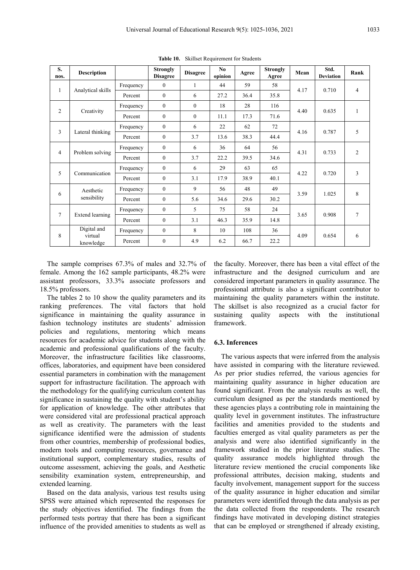| S.<br>nos.     | <b>Description</b>                |           | <b>Strongly</b><br><b>Disagree</b> | <b>Disagree</b> | N <sub>0</sub><br>opinion | Agree | <b>Strongly</b><br>Agree | Mean | Std.<br><b>Deviation</b> | Rank            |
|----------------|-----------------------------------|-----------|------------------------------------|-----------------|---------------------------|-------|--------------------------|------|--------------------------|-----------------|
|                |                                   | Frequency | $\theta$                           | 1               | 44                        | 59    | 58                       |      |                          |                 |
| 1              | Analytical skills                 | Percent   | $\theta$                           | 6               | 27.2                      | 36.4  | 35.8                     | 4.17 | 0.710                    | $\overline{4}$  |
|                |                                   | Frequency | $\theta$                           | $\theta$        | 18                        | 28    | 116                      |      |                          |                 |
| 2              | Creativity                        | Percent   | $\theta$                           | $\theta$        | 11.1                      | 17.3  | 71.6                     | 4.40 | 0.635                    | 1               |
|                |                                   | Frequency | $\overline{0}$                     | 6               | 22                        | 62    | 72                       |      |                          |                 |
| 3              | Lateral thinking                  | Percent   | $\overline{0}$                     | 3.7             | 13.6                      | 38.3  | 44.4                     | 4.16 | 0.787                    | 5               |
|                |                                   | Frequency | $\theta$                           | 6               | 36                        | 64    | 56                       |      |                          | 2               |
|                | Problem solving<br>$\overline{4}$ | Percent   | $\theta$                           | 3.7             | 22.2                      | 39.5  | 34.6                     | 4.31 | 0.733                    |                 |
|                |                                   | Frequency | $\theta$                           | 6               | 29                        | 63    | 65                       |      |                          | 3               |
| 5              | Communication                     | Percent   | $\theta$                           | 3.1             | 17.9                      | 38.9  | 40.1                     | 4.22 | 0.720                    |                 |
|                | Aesthetic                         | Frequency | $\theta$                           | 9               | 56                        | 48    | 49                       |      |                          | 8               |
| 6              | sensibility                       | Percent   | $\overline{0}$                     | 5.6             | 34.6                      | 29.6  | 30.2                     | 3.59 | 1.025                    |                 |
| $\overline{7}$ |                                   | Frequency | $\theta$                           | 5               | 75                        | 58    | 24                       | 3.65 | 0.908                    |                 |
|                | Extend learning                   | Percent   | $\overline{0}$                     | 3.1             | 46.3                      | 35.9  | 14.8                     |      |                          | $7\phantom{.0}$ |
|                | Digital and                       | Frequency | $\overline{0}$                     | 8               | 10                        | 108   | 36                       |      |                          |                 |
| 8              | virtual<br>knowledge              | Percent   | $\theta$                           | 4.9             | 6.2                       | 66.7  | 22.2                     | 4.09 | 0.654                    | 6               |

**Table 10.** Skillset Requirement for Students

The sample comprises 67.3% of males and 32.7% of female. Among the 162 sample participants, 48.2% were assistant professors, 33.3% associate professors and 18.5% professors.

The tables 2 to 10 show the quality parameters and its ranking preferences. The vital factors that hold significance in maintaining the quality assurance in fashion technology institutes are students' admission policies and regulations, mentoring which means resources for academic advice for students along with the academic and professional qualifications of the faculty. Moreover, the infrastructure facilities like classrooms, offices, laboratories, and equipment have been considered essential parameters in combination with the management support for infrastructure facilitation. The approach with the methodology for the qualifying curriculum content has significance in sustaining the quality with student's ability for application of knowledge. The other attributes that were considered vital are professional practical approach as well as creativity. The parameters with the least significance identified were the admission of students from other countries, membership of professional bodies, modern tools and computing resources, governance and institutional support, complementary studies, results of outcome assessment, achieving the goals, and Aesthetic sensibility examination system, entrepreneurship, and extended learning.

Based on the data analysis, various test results using SPSS were attained which represented the responses for the study objectives identified. The findings from the performed tests portray that there has been a significant influence of the provided amenities to students as well as

the faculty. Moreover, there has been a vital effect of the infrastructure and the designed curriculum and are considered important parameters in quality assurance. The professional attribute is also a significant contributor to maintaining the quality parameters within the institute. The skillset is also recognized as a crucial factor for sustaining quality aspects with the institutional framework.

#### **6.3. Inferences**

The various aspects that were inferred from the analysis have assisted in comparing with the literature reviewed. As per prior studies referred, the various agencies for maintaining quality assurance in higher education are found significant. From the analysis results as well, the curriculum designed as per the standards mentioned by these agencies plays a contributing role in maintaining the quality level in government institutes. The infrastructure facilities and amenities provided to the students and faculties emerged as vital quality parameters as per the analysis and were also identified significantly in the framework studied in the prior literature studies. The quality assurance models highlighted through the literature review mentioned the crucial components like professional attributes, decision making, students and faculty involvement, management support for the success of the quality assurance in higher education and similar parameters were identified through the data analysis as per the data collected from the respondents. The research findings have motivated in developing distinct strategies that can be employed or strengthened if already existing,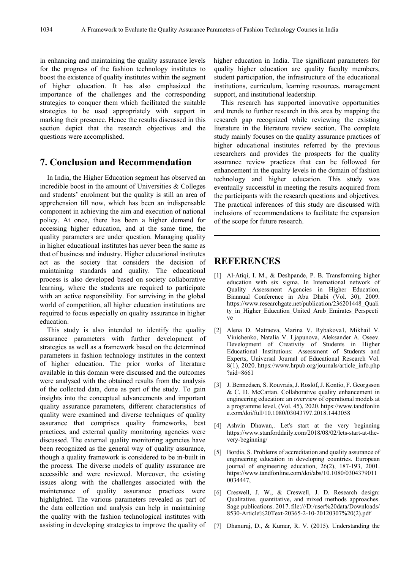in enhancing and maintaining the quality assurance levels for the progress of the fashion technology institutes to boost the existence of quality institutes within the segment of higher education. It has also emphasized the importance of the challenges and the corresponding strategies to conquer them which facilitated the suitable strategies to be used appropriately with support in marking their presence. Hence the results discussed in this section depict that the research objectives and the questions were accomplished.

## **7. Conclusion and Recommendation**

In India, the Higher Education segment has observed an incredible boost in the amount of Universities & Colleges and students' enrolment but the quality is still an area of apprehension till now, which has been an indispensable component in achieving the aim and execution of national policy. At once, there has been a higher demand for accessing higher education, and at the same time, the quality parameters are under question. Managing quality in higher educational institutes has never been the same as that of business and industry. Higher educational institutes act as the society that considers the decision of maintaining standards and quality. The educational process is also developed based on society collaborative learning, where the students are required to participate with an active responsibility. For surviving in the global world of competition, all higher education institutions are required to focus especially on quality assurance in higher education.

This study is also intended to identify the quality assurance parameters with further development of strategies as well as a framework based on the determined parameters in fashion technology institutes in the context of higher education. The prior works of literature available in this domain were discussed and the outcomes were analysed with the obtained results from the analysis of the collected data, done as part of the study. To gain insights into the conceptual advancements and important quality assurance parameters, different characteristics of quality were examined and diverse techniques of quality assurance that comprises quality frameworks, best practices, and external quality monitoring agencies were discussed. The external quality monitoring agencies have been recognized as the general way of quality assurance, though a quality framework is considered to be in-built in the process. The diverse models of quality assurance are accessible and were reviewed. Moreover, the existing issues along with the challenges associated with the maintenance of quality assurance practices were highlighted. The various parameters revealed as part of the data collection and analysis can help in maintaining the quality with the fashion technological institutes with assisting in developing strategies to improve the quality of higher education in India. The significant parameters for quality higher education are quality faculty members, student participation, the infrastructure of the educational institutions, curriculum, learning resources, management support, and institutional leadership.

This research has supported innovative opportunities and trends to further research in this area by mapping the research gap recognized while reviewing the existing literature in the literature review section. The complete study mainly focuses on the quality assurance practices of higher educational institutes referred by the previous researchers and provides the prospects for the quality assurance review practices that can be followed for enhancement in the quality levels in the domain of fashion technology and higher education. This study was eventually successful in meeting the results acquired from the participants with the research questions and objectives. The practical inferences of this study are discussed with inclusions of recommendations to facilitate the expansion of the scope for future research.

## **REFERENCES**

- [1] Al-Atiqi, I. M., & Deshpande, P. B. Transforming higher education with six sigma. In International network of Quality Assessment Agencies in Higher Education, Biannual Conference in Abu Dhabi (Vol. 30), 2009. https://www.researchgate.net/publication/236201448\_Quali ty in Higher Education United Arab Emirates Perspecti ve
- [2] Alena D. Matraeva, Marina V. Rybakova1, Mikhail V. Vinichenko, Natalia V. Ljapunova, Aleksander A. Oseev. Development of Creativity of Students in Higher Educational Institutions: Assessment of Students and Experts, Universal Journal of Educational Research Vol. 8(1), 2020. https://www.hrpub.org/journals/article\_info.php ?aid=8661
- [3] J. Bennedsen, S. Rouvrais, J. Roslöf, J. Kontio, F. Georgsson & C. D. McCartan. Collaborative quality enhancement in engineering education: an overview of operational models at a programme level, (Vol. 45), 2020. https://www.tandfonlin e.com/doi/full/10.1080/03043797.2018.1443058
- [4] Ashvin Dhawan,. Let's start at the very beginning https://www.stanforddaily.com/2018/08/02/lets-start-at-thevery-beginning/
- [5] Bordia, S. Problems of accreditation and quality assurance of engineering education in developing countries. European journal of engineering education, 26(2), 187-193, 2001. https://www.tandfonline.com/doi/abs/10.1080/0304379011 0034447,
- [6] Creswell, J. W., & Creswell, J. D. Research design: Qualitative, quantitative, and mixed methods approaches. Sage publications. 2017. file:///D:/user%20data/Downloads/ 8530-Article%20Text-20365-2-10-20120307%20(2).pdf
- [7] Dhanuraj, D., & Kumar, R. V. (2015). Understanding the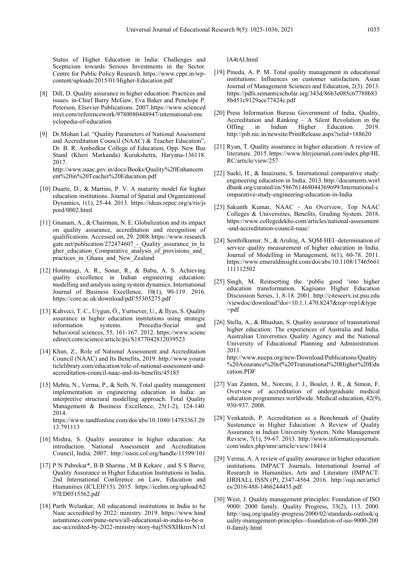Status of Higher Education in India: Challenges and Scepticism towards Serious Investments in the Sector. Centre for Public Policy Research. https://www.cppr.in/wpcontent/uploads/2015/01/Higher-Education.pdf

- [8] Dill, D. Quality assurance in higher education: Practices and issues. in-Chief Barry McGaw, Eva Baker and Penelope P. Peterson, Elsevier Publications. 2007.https://www.scienced irect.com/referencework/9780080448947/international-enc yclopedia-of-education
- [9] Dr.Mohan Lal. "Quality Parameters of National Assessment and Accreditation Council (NAAC) & Teacher Education", Dr. B. R. Ambedkar College of Education, Opp. New Bus Stand (Kheri Markanda) Kurukshetra, Haryana-136118. 2017. http://www.naac.gov.in/docs/Books/Quality%20Enhancem ent%20in%20Teacher%20Education.pdf
- [10] Duarte, D., & Martins, P. V. A maturity model for higher education institutions. Journal of Spatial and Organizational Dynamics, 1(1), 25-44. 2013. https://ideas.repec.org/a/ris/js pord/0002.html
- [11] Gnanam, A., & Chairman, N. E. Globalization and its impact on quality assurance, accreditation and recognition of qualifications. Accessed on, 29. 2008. https://www.research gate.net/publication/272474607\_-\_Quality\_assurance\_in\_hi gher education Comparative analysis of provisions and practices in Ghana and New Zealand
- [12] Honnutagi, A. R., Sonar, R., & Babu, A. S. Achieving quality excellence in Indian engineering education: modelling and analysis using system dynamics. International Journal of Business Excellence, 10(1), 90-119. 2016. https://core.ac.uk/download/pdf/55305275.pdf
- [13] Kahveci, T. C., Uygun, Ö., Yurtsever, U., & İlyas, S. Quality assurance in higher education institutions using strategic<br>information systems. Procedia-Social and Procedia-Social behavioral sciences, 55, 161-167. 2012. https://www.scienc edirect.com/science/article/pii/S1877042812039523
- [14] Khan, Z., Role of National Assessment and Accreditation Council (NAAC) and Its Benefits, 2019. http://www.yourar ticlelibrary.com/education/role-of-national-assessment-andaccreditation-council-naac-and-its-benefits/45185
- [15] Mehta, N., Verma, P., & Seth, N. Total quality management implementation in engineering education in India: an interpretive structural modelling approach. Total Quality Management & Business Excellence, 25(1-2), 124-140. 2014. https://www.tandfonline.com/doi/abs/10.1080/14783363.20 13.791113
- [16] Mishra, S. Quality assurance in higher education: An introduction. National Assessment and Accreditation Council, India. 2007. http://oasis.col.org/handle/11599/101
- [17] P N Pabrekar\*, B B Sharma, M B Kekare, and S S Barve, Quality Assurance in Higher Education Institutions in India, 2nd International Conference on Law, Education and Humanities (ICLEH'15). 2015. https://icehm.org/upload/62 97ED0515562.pdf
- [18] Parth Welankar, All educational institutions in India to be Naac accredited by 2022: ministry. 2019. https://www.hind ustantimes.com/pune-news/all-educational-in-india-to-be-n aac-accredited-by-2022-ministry/story-6aj5NSXHkruvN1xI

lA4tAI.html

- [19] Pineda, A. P. M. Total quality management in educational institutions: Influences on customer satisfaction. Asian Journal of Management Sciences and Education, 2(3). 2013. https://pdfs.semanticscholar.org/343d/86b3e085c67788b83 8b451c9129ace77424c.pdf
- [20] Press Information Bureau Government of India, Quality, Accreditation and Ranking – A Silent Revolution in the Offing in Indian Higher Education. 2019. Offing in Indian Higher Education. 2019. http://pib.nic.in/newsite/PrintRelease.aspx?relid=188620
- [21] Ryan, T. Quality assurance in higher education: A review of literature. 2015. https://www.hlrcjournal.com/index.php/HL RC/article/view/257
- [22] Saeki, H., & Imaizumi, S. International comparative study: engineering education in India. 2013. http://documents.worl dbank.org/curated/en/586761468044369699/International-c omparative-study-engineering-education-in-India
- [23] Sakunth Kumar, NAAC An Overview, Top NAAC Colleges & Universities, Benefits, Grading System. 2018. https://www.collegedekho.com/articles/national-assessment -and-accreditation-council-naac/
- [24] Senthilkumar, N., & Arulraj, A. SQM-HEI–determination of service quality measurement of higher education in India. Journal of Modelling in Management, 6(1), 60-78. 2011. https://www.emeraldinsight.com/doi/abs/10.1108/17465661 111112502
- [25] Singh, M. Reinserting the 'public good 'into higher education transformation. Kagisano Higher Education Discussion Series, 1, 8-18. 2001. http://citeseerx.ist.psu.edu /viewdoc/download?doi=10.1.1.470.8247&rep=rep1&type =pdf
- [26] Stella, A., & Bhushan, S. Quality assurance of transnational higher education: The experiences of Australia and India. Australian Universities Quality Agency and the National University of Educational Planning and Administration. 2011. http://www.nuepa.org/new/Download/Publications/Quality %20Assurance%20of%20Transnational%20Higher%20Edu cation.PDF
- [27] Van Zanten, M., Norcini, J. J., Boulet, J. R., & Simon, F. Overview of accreditation of undergraduate medical education programmes worldwide. Medical education, 42(9), 930-937. 2008.
- [28] Venkatesh, P. Accreditation as a Benchmark of Quality Sustenance in Higher Education: A Review of Quality Assurance in Indian University System. Nitte Management Review, 7(1), 59-67. 2013. http://www.informaticsjournals. com/index.php/nmr/article/view/18414
- [29] Verma, A. A review of quality assurance in higher education institutions. IMPACT Journals, International Journal of Research in Humanities, Arts and Literature (IMPACT: IJRHAL), ISSN (P), 2347-4564. 2016. http://oaji.net/articl es/2016/488-1466244455.pdf
- [30] West, J. Quality management principles: Foundation of ISO 9000: 2000 family. Quality Progress, 33(2), 113. 2000. http://asq.org/quality-progress/2000/02/standards-outlook/q uality-management-principles--foundation-of-iso-9000-200 0-family.html